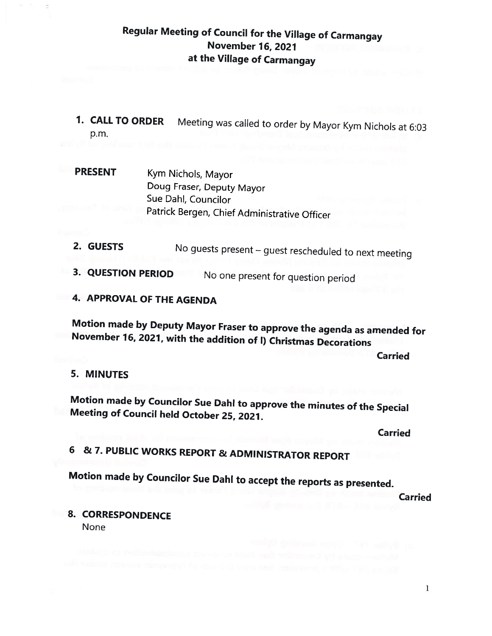## Regular Meeting of Council for the Village of Carmangay November 16, 2021 at the Village of Carmangay

- 1. CALL TO ORDER Meeting was called to order by Mayor Kym Nichols at 6:03 p.m.
- PRESENT Kym Nichols, Mayor Doug Fraser, Deputy Mayor Sue DahI, Councilor Patrick Bergen, Chief Administrative Officer
- 2. GUESTS No guests present guest rescheduled to next meeting
- 3. QUESTION PERIOD No one present for question period
- 4. APPROVAL OF THE AGENDA

Motion made by Deputy Mayor Fraser to approve the agenda as amended for November 76, 2021, with the addition of I) Christmas Decorations

Carried

#### 5. MINUTES

Motion made by Councilor Sue Dahi to approve the minutes of the Special Meeting of Council held October 25, 2021.

Carried

# <sup>6</sup> & 7. PUBLIC WORKS REPORT & ADMINISTRATOR REPORT

Motion made by Councilor Sue Dahl to accept the reports as presented.

Carried

8. CORRESPONDENCE

None

 $\mathbf{1}$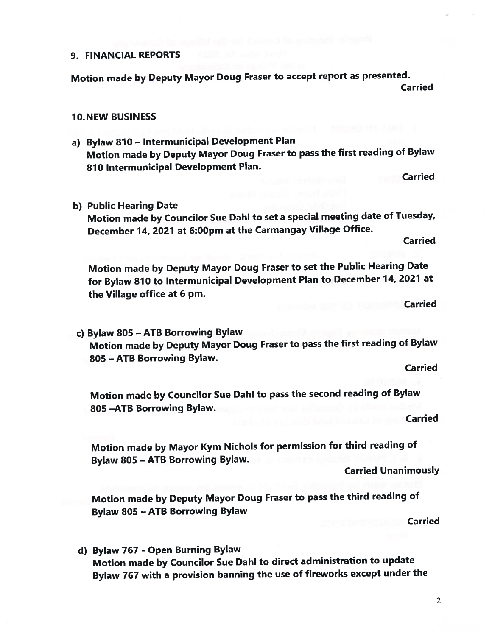#### 9. FINANCIAL REPORTS

Motion made by Deputy Mayor Doug Fraser to accep<sup>t</sup> repor<sup>t</sup> as presented. Carried

#### 10.NEW BUSINESS

a) Bylaw <sup>810</sup> — Intermunicipal Development Plan Motion made by Deputy Mayor Doug Fraser to pass the first reading of Bylaw <sup>870</sup> Intermunicipal Development Plan.

Carried

b) Public Hearing Date

Motion made by Councilor Sue Dahi to set <sup>a</sup> special meeting date of Tuesday, December 74, <sup>2021</sup> at 6:00pm at the Carmangay Village Office.

Carried

Motion made by Deputy Mayor Doug Fraser to set the Public Hearing Date for Bylaw <sup>810</sup> to Intermunicipal Development Plan to December 74, <sup>2027</sup> at the Village office at 6 pm.

**Carried** 

c) Bylaw <sup>805</sup> — ATE Borrowing Bylaw Motion made by Deputy Mayor Doug Fraser to pass the first reading of Bylaw 805 — ATE Borrowing Bylaw.

Carried

Motion made by Councilor Sue DahI to pass the second reading of Bylaw 805 —ATE Borrowing Bylaw.

Carried

Motion made by Mayor Kym Nichols for permission for third reading of Bylaw <sup>805</sup> — ATB Borrowing Bylaw.

Carried Unanimously

Motion made by Deputy Mayor Doug Fraser to pass the third reading of Bylaw <sup>805</sup> — ATE Borrowing Bylaw

Carried

d) Bylaw <sup>767</sup> - Open Burning Bylaw Motion made by Councilor Sue Dab! to direct administration to update Bylaw <sup>767</sup> with <sup>a</sup> provision banning the use of fireworks excep<sup>t</sup> under the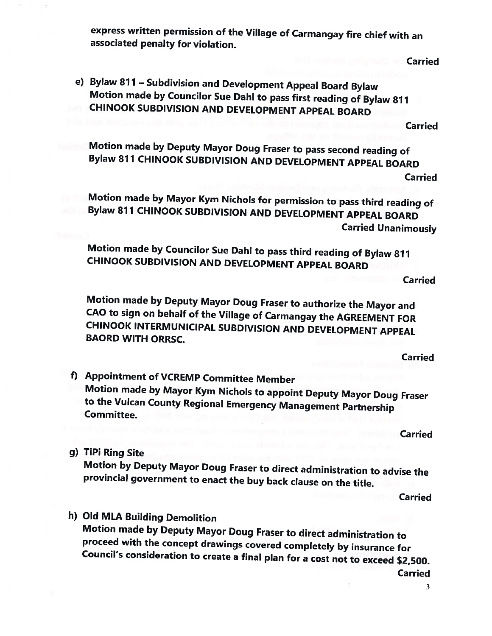express written permission of the Village of Carmangay fire chief with an associated penalty for violation.

**Carried** 

e) Bylaw <sup>871</sup> — Subdivision and Development Appeal Board Bylaw Motion made by Councilor Sue DahI to pass first reading of Bylaw <sup>871</sup> CHINOOK SUBDIVISION AND DEVELOPMENT APPEAL BOARD

Carried

Motion made by Deputy Mayor Doug Fraser to pass second reading of Bylaw <sup>817</sup> CHINOOK SUBDIVISION AND DEVELOPMENT APPEAL BOARD Carried

Motion made by Mayor Kym Nichols for permission to pass third reading of Bylaw <sup>817</sup> CHINOOK SUBDIVISION AND DEVELOPMENT APPEAL BOARD Carried Unanimously

Motion made by Councilor Sue Dahl to pass third reading of Bylaw <sup>877</sup> CHINOOK SUBDIVISION AND DEVELOPMENT APPEAL BOARD

Carried

Motion made by Deputy Mayor Doug Fraser to authorize the Mayor and CAO to sign on behalf of the Village of Carmangay the AGREEMENT FOR CHINOOK INTERMUNICIPAL SUBDIVISION AND DEVELOPMENT APPEAL BAORD WITH ORRSC.

Carried

f) Appointment of VCREMP Committee Member Motion made by Mayor Kym Nichols to appoint Deputy Mayor Doug Fraser to the Vulcan County Regional Emergency Management Partnership Committee.

Carried

g) TiPi Ring Site

Motion by Deputy Mayor Doug Fraser to direct administration to advise the provincial government to enact the buy back clause on the title.

Carried

h) Old MLA Building Demolition Motion made by Deputy Mayor Doug Fraser to direct administration to proceed with the concept drawings covered completely by insurance for Council's consideration to create <sup>a</sup> final <sup>p</sup>lan for <sup>a</sup> cost not to exceed \$2,500. Carried

3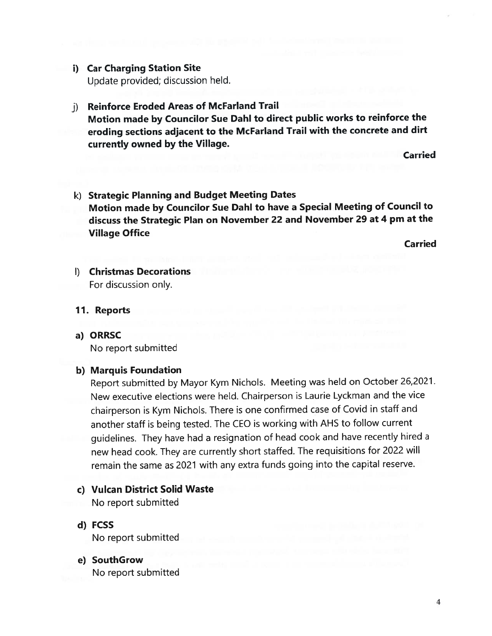# i) Car Charging Station Site

Update provided; discussion held.

## j) Reinforce Eroded Areas of McFarland Trail

Motion made by Councilor Sue Dahi to direct public works to reinforce the eroding sections adjacent to the McFarland Trail with the concrete and dirt currently owned by the Village.

**Carried** 

k) Strategic Planning and Budget Meeting Dates Motion made by Councilor Sue Dahi to have <sup>a</sup> Special Meeting of Council to discuss the Strategic Plan on November <sup>22</sup> and November <sup>29</sup> at <sup>4</sup> pm at the Village Office

Carried

I) Christmas Decorations For discussion only.

#### 11. Reports

a) ORRSC No repor<sup>t</sup> submitted

### b) Marquis Foundation

Report submitted by Mayor Kym Nichols. Meeting was held on October 26,2021. New executive elections were held. Chairperson is Laurie Lyckman and the vice chairperson is Kym Nichols. There is one confirmed case of Covid in staff and another staff is being tested. The CEO is working with AHS to follow current guidelines. They have had <sup>a</sup> resignation of head cook and have recently hired <sup>a</sup> new head cook. They are currently short staffed. The requisitions for <sup>2022</sup> will remain the same as <sup>2021</sup> with any extra funds going into the capital reserve.

### c) Vulcan District Solid Waste

No repor<sup>t</sup> submitted

d) FCSS No repor<sup>t</sup> submitted

### e) SouthGrow No repor<sup>t</sup> submitted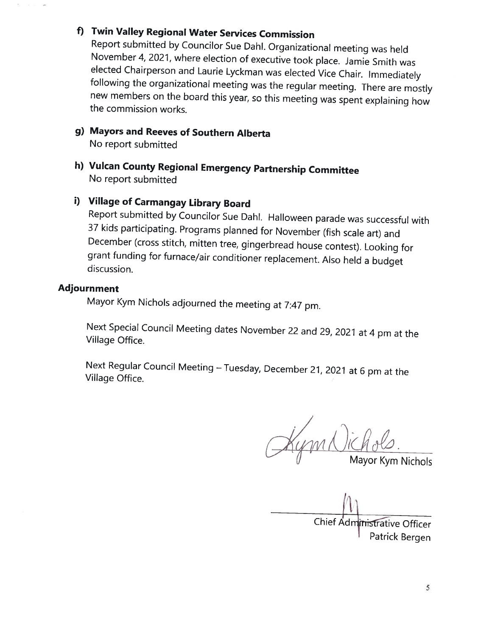# f) Twin Valley Regional Water Services Commission

Report submitted by Councilor Sue DahI. Organizational meeting was held November 4, 2021, where election of executive took <sup>p</sup>lace. Jamie Smith was elected Chairperson and Laurie Lyckman was elected Vice Chair. Immediately following the organizational meeting was the regular meeting. There are mostly new members on the board this year, so this meeting was spent explaining how the commission works.

### g) Mayors and Reeves of Southern Alberta No report submitted

h) Vulcan County Regional Emergency Partnership Committee No report submitted

## i) Village of Carmangay Library Board

Report submitted by Councilor Sue DahI. Halloween parade was successful with <sup>37</sup> kids participating. Programs <sup>p</sup>lanned for November (fish scale art) and December (cross stitch, mitten tree, <sup>g</sup>ingerbread house contest). Looking for grant funding for furnace/air conditioner replacement. Also held <sup>a</sup> budget discussion.

#### Adjournment

Mayor Kym Nichols adjourned the meeting at 7:47 pm.

Next Special Council Meeting dates November <sup>22</sup> and 29, <sup>2021</sup> at <sup>4</sup> pm at the Village Office.

Next Regular Council Meeting — Tuesday, December 21, <sup>2021</sup> at <sup>6</sup> pm at the Village Office.

1 Kym Nichols.

Chief Administrative Officer

<sup>I</sup> Patrick Bergen